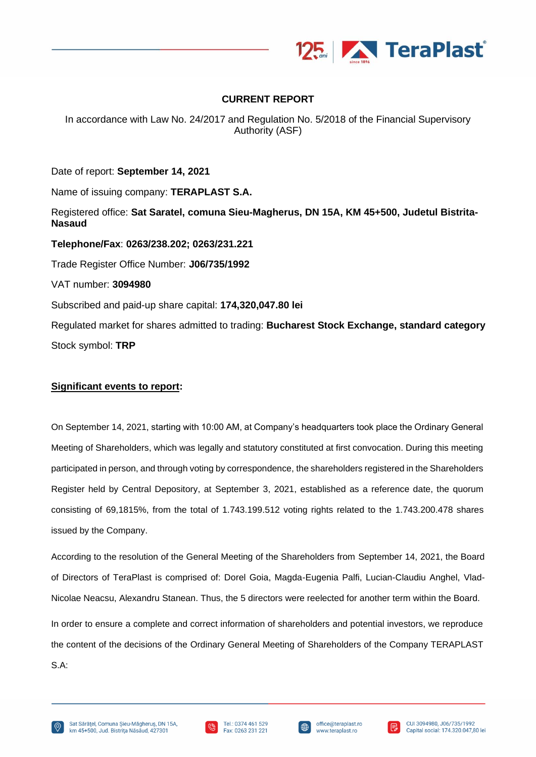

# **CURRENT REPORT**

In accordance with Law No. 24/2017 and Regulation No. 5/2018 of the Financial Supervisory Authority (ASF)

Date of report: **September 14, 2021** Name of issuing company: **TERAPLAST S.A.** Registered office: **Sat Saratel, comuna Sieu-Magherus, DN 15A, KM 45+500, Judetul Bistrita-Nasaud Telephone/Fax**: **0263/238.202; 0263/231.221** Trade Register Office Number: **J06/735/1992** VAT number: **3094980** Subscribed and paid-up share capital: **174,320,047.80 lei** Regulated market for shares admitted to trading: **Bucharest Stock Exchange, standard category** Stock symbol: **TRP**

## **Significant events to report:**

On September 14, 2021, starting with 10:00 AM, at Company's headquarters took place the Ordinary General Meeting of Shareholders, which was legally and statutory constituted at first convocation. During this meeting participated in person, and through voting by correspondence, the shareholders registered in the Shareholders Register held by Central Depository, at September 3, 2021, established as a reference date, the quorum consisting of 69,1815%, from the total of 1.743.199.512 voting rights related to the 1.743.200.478 shares issued by the Company.

According to the resolution of the General Meeting of the Shareholders from September 14, 2021, the Board of Directors of TeraPlast is comprised of: Dorel Goia, Magda-Eugenia Palfi, Lucian-Claudiu Anghel, Vlad-Nicolae Neacsu, Alexandru Stanean. Thus, the 5 directors were reelected for another term within the Board.

In order to ensure a complete and correct information of shareholders and potential investors, we reproduce the content of the decisions of the Ordinary General Meeting of Shareholders of the Company TERAPLAST S.A:





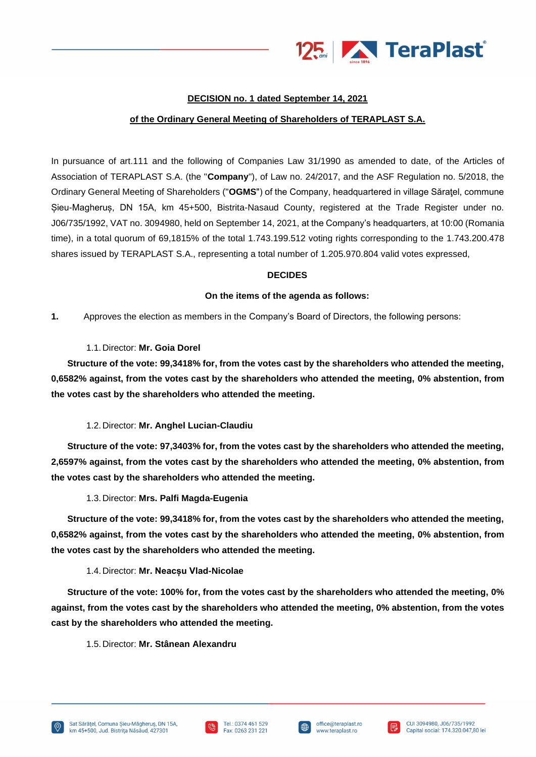

# **DECISION no. 1 dated September 14, 2021**

### **of the Ordinary General Meeting of Shareholders of TERAPLAST S.A.**

In pursuance of art.111 and the following of Companies Law 31/1990 as amended to date, of the Articles of Association of TERAPLAST S.A. (the "**Company**"), of Law no. 24/2017, and the ASF Regulation no. 5/2018, the Ordinary General Meeting of Shareholders ("**OGMS**") of the Company, headquartered in village Săraţel, commune Șieu-Magheruș, DN 15A, km 45+500, Bistrita-Nasaud County, registered at the Trade Register under no. J06/735/1992, VAT no. 3094980, held on September 14, 2021, at the Company's headquarters, at 10:00 (Romania time), in a total quorum of 69,1815% of the total 1.743.199.512 voting rights corresponding to the 1.743.200.478 shares issued by TERAPLAST S.A., representing a total number of 1.205.970.804 valid votes expressed,

### **DECIDES**

### **On the items of the agenda as follows:**

**1.** Approves the election as members in the Company's Board of Directors, the following persons:

### 1.1.Director: **Mr. Goia Dorel**

**Structure of the vote: 99,3418% for, from the votes cast by the shareholders who attended the meeting, 0,6582% against, from the votes cast by the shareholders who attended the meeting, 0% abstention, from the votes cast by the shareholders who attended the meeting.**

## 1.2.Director: **Mr. Anghel Lucian-Claudiu**

**Structure of the vote: 97,3403% for, from the votes cast by the shareholders who attended the meeting, 2,6597% against, from the votes cast by the shareholders who attended the meeting, 0% abstention, from the votes cast by the shareholders who attended the meeting.**

1.3.Director: **Mrs. Palfi Magda-Eugenia**

**Structure of the vote: 99,3418% for, from the votes cast by the shareholders who attended the meeting, 0,6582% against, from the votes cast by the shareholders who attended the meeting, 0% abstention, from the votes cast by the shareholders who attended the meeting.**

#### 1.4.Director: **Mr. Neacșu Vlad-Nicolae**

**Structure of the vote: 100% for, from the votes cast by the shareholders who attended the meeting, 0% against, from the votes cast by the shareholders who attended the meeting, 0% abstention, from the votes cast by the shareholders who attended the meeting.**

1.5.Director: **Mr. Stânean Alexandru**